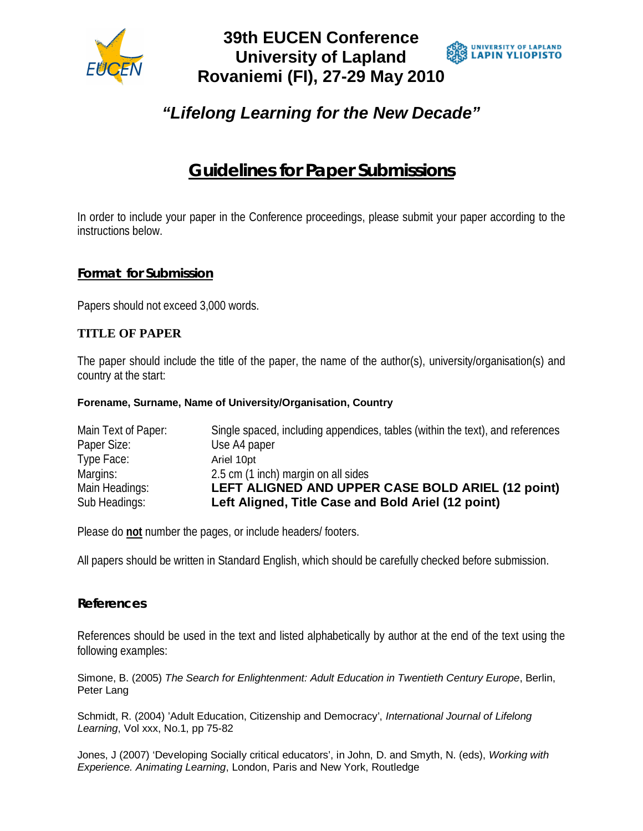

### **39th EUCEN Conference University of Lapland Rovaniemi (FI), 27-29 May 2010**



# *"Lifelong Learning for the New Decade"*

## *Guidelines for Paper Submissions*

In order to include your paper in the Conference proceedings, please submit your paper according to the instructions below.

#### **Format for Submission**

Papers should not exceed 3,000 words.

#### **TITLE OF PAPER**

The paper should include the title of the paper, the name of the author(s), university/organisation(s) and country at the start:

#### **Forename, Surname, Name of University/Organisation, Country**

| Main Text of Paper: | Single spaced, including appendices, tables (within the text), and references |
|---------------------|-------------------------------------------------------------------------------|
| Paper Size:         | Use A4 paper                                                                  |
| Type Face:          | Ariel 10pt                                                                    |
| Margins:            | 2.5 cm (1 inch) margin on all sides                                           |
| Main Headings:      | LEFT ALIGNED AND UPPER CASE BOLD ARIEL (12 point)                             |
| Sub Headings:       | Left Aligned, Title Case and Bold Ariel (12 point)                            |

Please do **not** number the pages, or include headers/ footers.

All papers should be written in Standard English, which should be carefully checked before submission.

#### *References*

References should be used in the text and listed alphabetically by author at the end of the text using the following examples:

Simone, B. (2005) *The Search for Enlightenment: Adult Education in Twentieth Century Europe*, Berlin, Peter Lang

Schmidt, R. (2004) 'Adult Education, Citizenship and Democracy', *International Journal of Lifelong Learning*, Vol xxx, No.1, pp 75-82

Jones, J (2007) 'Developing Socially critical educators', in John, D. and Smyth, N. (eds), *Working with Experience. Animating Learning*, London, Paris and New York, Routledge